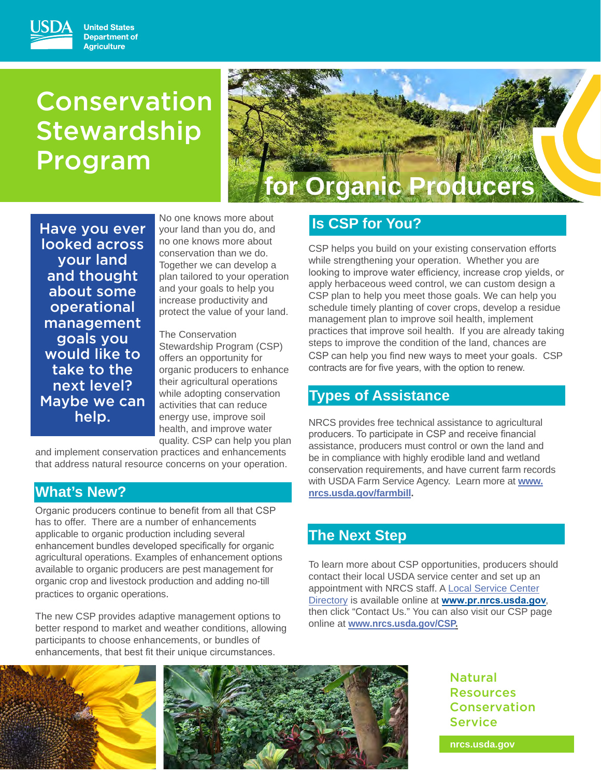### **United States Department of Agriculture**

# Conservation **Stewardship** Program



Have you ever looked across your land and thought about some operational management goals you would like to take to the next level? Maybe we can help.

No one knows more about your land than you do, and no one knows more about conservation than we do. Together we can develop a plan tailored to your operation and your goals to help you increase productivity and protect the value of your land.

The Conservation Stewardship Program (CSP) offers an opportunity for organic producers to enhance their agricultural operations while adopting conservation activities that can reduce energy use, improve soil health, and improve water quality. CSP can help you plan

and implement conservation practices and enhancements that address natural resource concerns on your operation.

## **What's New?**

Organic producers continue to benefit from all that CSP has to offer. There are a number of enhancements applicable to organic production including several enhancement bundles developed specifically for organic agricultural operations. Examples of enhancement options available to organic producers are pest management for organic crop and livestock production and adding no-till practices to organic operations.

The new CSP provides adaptive management options to better respond to market and weather conditions, allowing participants to choose enhancements, or bundles of enhancements, that best fit their unique circumstances.

## **Is CSP for You?**

 CSP can help you find new ways to meet your goals. CSP CSP helps you build on your existing conservation efforts while strengthening your operation. Whether you are looking to improve water efficiency, increase crop yields, or apply herbaceous weed control, we can custom design a CSP plan to help you meet those goals. We can help you schedule timely planting of cover crops, develop a residue management plan to improve soil health, implement practices that improve soil health. If you are already taking steps to improve the condition of the land, chances are contracts are for five years, with the option to renew.

## **Types of Assistance**

NRCS provides free technical assistance to agricultural producers. To participate in CSP and receive financial assistance, producers must control or own the land and be in compliance with highly erodible land and wetland conservation requirements, and have current farm records with USDA Farm Service Agency. Learn more at **www. [nrcs.usda.gov/farmbill.](https://nrcs.usda.gov/farmbill)** 

## **The Next Step**

To learn more about CSP opportunities, producers should contact their local USDA service center and set up an appointment with NRCS staff. A Local Service Center Directory is available online at **[www.pr.nrcs.usda.gov](http://www.pr.nrcs.usda.gov)**, then click "Contact Us." You can also visit our CSP page online at **[www.nrcs.usda.gov/CSP.](www.nrcs.usda.gov/CSP)** 





**Natural** Natural<br>Resources Conservation **Service** 

**nrcs.usda.gov**